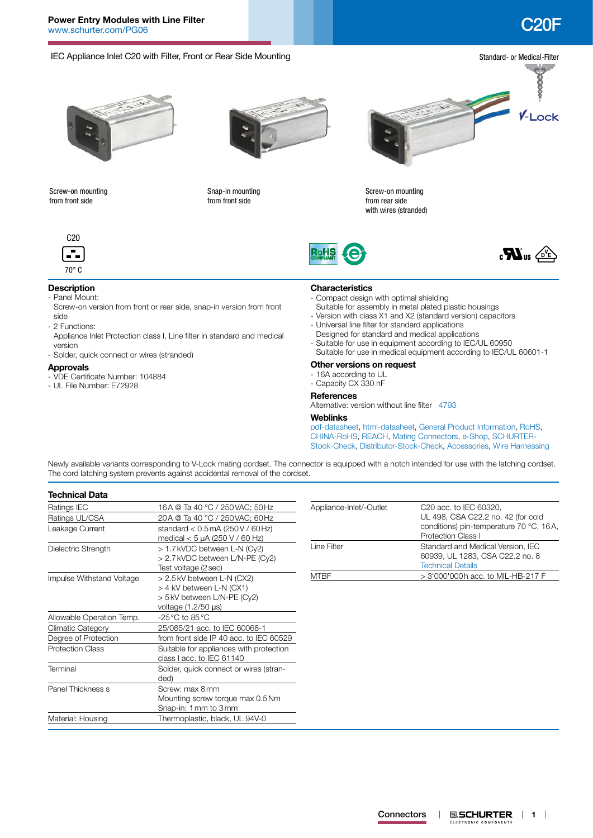

Newly available variants corresponding to V-Lock mating cordset. The connector is equipped with a notch intended for use with the latching cordset. The cord latching system prevents against accidental removal of the cordset.

| <b>Technical Data</b>     |                                                                                         |                         |                                                                                                  |  |  |
|---------------------------|-----------------------------------------------------------------------------------------|-------------------------|--------------------------------------------------------------------------------------------------|--|--|
| Ratings IEC               | 16A @ Ta 40 °C / 250 VAC; 50 Hz                                                         | Appliance-Inlet/-Outlet | C <sub>20</sub> acc. to IEC 60320.                                                               |  |  |
| Ratings UL/CSA            | 20A @ Ta 40 °C / 250 VAC; 60 Hz                                                         |                         | UL 498, CSA C22.2 no. 42 (for cold                                                               |  |  |
| Leakage Current           | standard $<$ 0.5 mA (250 V / 60 Hz)<br>medical $<$ 5 µA (250 V / 60 Hz)                 |                         | conditions) pin-temperature 70 °C, 16A,<br><b>Protection Class I</b>                             |  |  |
| Dielectric Strength       | > 1.7 kVDC between L-N (Cy2)<br>> 2.7 kVDC between L/N-PE (Cy2)<br>Test voltage (2 sec) | Line Filter             | Standard and Medical Version, IEC<br>60939, UL 1283, CSA C22.2 no. 8<br><b>Technical Details</b> |  |  |
| Impulse Withstand Voltage | > 2.5kV between L-N (CX2)                                                               | <b>MTBF</b>             | > 3'000'000h acc. to MIL-HB-217 F                                                                |  |  |
|                           | > 4 kV between L-N (CX1)                                                                |                         |                                                                                                  |  |  |
|                           | > 5 kV between L/N-PE (Cy2)                                                             |                         |                                                                                                  |  |  |
|                           | voltage $(1.2/50 \mu s)$                                                                |                         |                                                                                                  |  |  |
| Allowable Operation Temp. | $-25^{\circ}$ C to 85 °C                                                                |                         |                                                                                                  |  |  |
| Climatic Category         | 25/085/21 acc. to IEC 60068-1                                                           |                         |                                                                                                  |  |  |
| Degree of Protection      | from front side IP 40 acc. to IEC 60529                                                 |                         |                                                                                                  |  |  |
| <b>Protection Class</b>   | Suitable for appliances with protection<br>class I acc. to IEC 61140                    |                         |                                                                                                  |  |  |
| Terminal                  | Solder, quick connect or wires (stran-<br>ded)                                          |                         |                                                                                                  |  |  |
| Panel Thickness s         | Screw: max 8mm                                                                          |                         |                                                                                                  |  |  |
|                           | Mounting screw torque max 0.5 Nm                                                        |                         |                                                                                                  |  |  |
|                           | Snap-in: 1 mm to 3 mm                                                                   |                         |                                                                                                  |  |  |
| Material: Housing         | Thermoplastic, black, UL 94V-0                                                          |                         |                                                                                                  |  |  |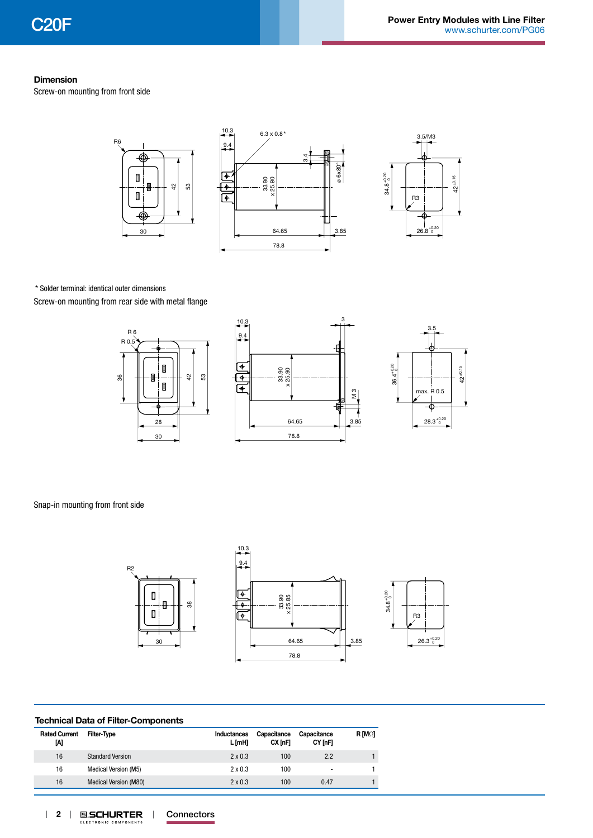### **Dimension**

Screw-on mounting from front side



\* Solder terminal: identical outer dimensions Screw-on mounting from rear side with metal flange

R 0

36





Snap-in mounting from front side



### **Technical Data of Filter-Components**

| <b>Rated Current</b><br>ΙAΙ | Filter-Type                  | Inductances<br>L [mH] | Capacitance<br>CX InFl | Capacitance<br>CY [nF] | $R$ [M $\Omega$ ] |
|-----------------------------|------------------------------|-----------------------|------------------------|------------------------|-------------------|
| 16                          | <b>Standard Version</b>      | $2 \times 0.3$        | 100                    | 2.2                    |                   |
| 16                          | Medical Version (M5)         | $2 \times 0.3$        | 100                    | -                      |                   |
| 16                          | <b>Medical Version (M80)</b> | $2 \times 0.3$        | 100                    | 0.47                   |                   |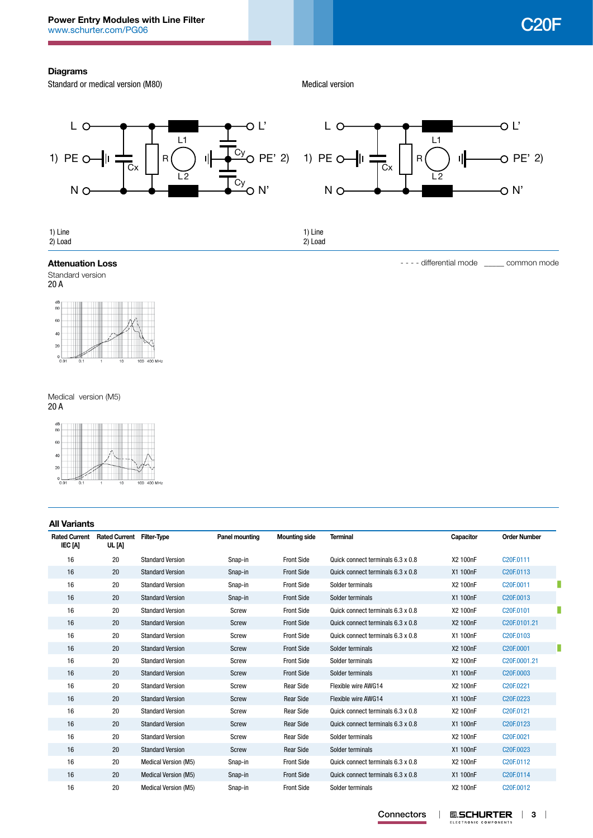# **Diagrams**

Standard or medical version (M80)

Medical version



#### **Attenuation Loss Attenuation Loss Exercise 2018 1999 1999 1999 1999 1999 1999 1999 1999 1999 1999 1999 1999 1999 1999 1999 1999 1999 1999 1999 1999 1999 1999 1999 1999**



20 A



Medical version (M5) 20 A



| <b>All Variants</b>             |                                |                             |                       |                      |                                   |           |                                    |   |
|---------------------------------|--------------------------------|-----------------------------|-----------------------|----------------------|-----------------------------------|-----------|------------------------------------|---|
| <b>Rated Current</b><br>IEC [A] | <b>Rated Current</b><br>UL [A] | <b>Filter-Type</b>          | <b>Panel mounting</b> | <b>Mounting side</b> | <b>Terminal</b>                   | Capacitor | <b>Order Number</b>                |   |
| 16                              | 20                             | <b>Standard Version</b>     | Snap-in               | <b>Front Side</b>    | Quick connect terminals 6.3 x 0.8 | X2 100nF  | C20F.0111                          |   |
| 16                              | 20                             | <b>Standard Version</b>     | Snap-in               | <b>Front Side</b>    | Quick connect terminals 6.3 x 0.8 | X1 100nF  | C <sub>20</sub> F <sub>.0113</sub> |   |
| 16                              | 20                             | <b>Standard Version</b>     | Snap-in               | <b>Front Side</b>    | Solder terminals                  | X2 100nF  | C20F.0011                          |   |
| 16                              | 20                             | <b>Standard Version</b>     | Snap-in               | <b>Front Side</b>    | Solder terminals                  | X1 100nF  | C <sub>20</sub> F <sub>.0013</sub> |   |
| 16                              | 20                             | <b>Standard Version</b>     | Screw                 | <b>Front Side</b>    | Quick connect terminals 6.3 x 0.8 | X2 100nF  | C20F.0101                          |   |
| 16                              | 20                             | <b>Standard Version</b>     | Screw                 | <b>Front Side</b>    | Quick connect terminals 6.3 x 0.8 | X2 100nF  | C20F.0101.21                       |   |
| 16                              | 20                             | <b>Standard Version</b>     | Screw                 | <b>Front Side</b>    | Quick connect terminals 6.3 x 0.8 | X1 100nF  | C <sub>20</sub> F <sub>.0103</sub> |   |
| 16                              | 20                             | <b>Standard Version</b>     | Screw                 | <b>Front Side</b>    | Solder terminals                  | X2 100nF  | C20F.0001                          | П |
| 16                              | 20                             | <b>Standard Version</b>     | Screw                 | <b>Front Side</b>    | Solder terminals                  | X2 100nF  | C20F.0001.21                       |   |
| 16                              | 20                             | <b>Standard Version</b>     | Screw                 | <b>Front Side</b>    | Solder terminals                  | X1 100nF  | C <sub>20</sub> F <sub>.0003</sub> |   |
| 16                              | 20                             | <b>Standard Version</b>     | Screw                 | <b>Rear Side</b>     | Flexible wire AWG14               | X2 100nF  | C20F.0221                          |   |
| 16                              | 20                             | <b>Standard Version</b>     | Screw                 | <b>Rear Side</b>     | Flexible wire AWG14               | X1 100nF  | C20F.0223                          |   |
| 16                              | 20                             | <b>Standard Version</b>     | Screw                 | <b>Rear Side</b>     | Quick connect terminals 6.3 x 0.8 | X2 100nF  | C20F.0121                          |   |
| 16                              | 20                             | <b>Standard Version</b>     | Screw                 | <b>Rear Side</b>     | Quick connect terminals 6.3 x 0.8 | X1 100nF  | C20F.0123                          |   |
| 16                              | 20                             | <b>Standard Version</b>     | Screw                 | <b>Rear Side</b>     | Solder terminals                  | X2 100nF  | C20F.0021                          |   |
| 16                              | 20                             | <b>Standard Version</b>     | Screw                 | <b>Rear Side</b>     | Solder terminals                  | X1 100nF  | C20F.0023                          |   |
| 16                              | 20                             | <b>Medical Version (M5)</b> | Snap-in               | <b>Front Side</b>    | Quick connect terminals 6.3 x 0.8 | X2 100nF  | C20F.0112                          |   |
| 16                              | 20                             | Medical Version (M5)        | Snap-in               | <b>Front Side</b>    | Quick connect terminals 6.3 x 0.8 | X1 100nF  | C20F.0114                          |   |
| 16                              | 20                             | Medical Version (M5)        | Snap-in               | <b>Front Side</b>    | Solder terminals                  | X2 100nF  | C20F.0012                          |   |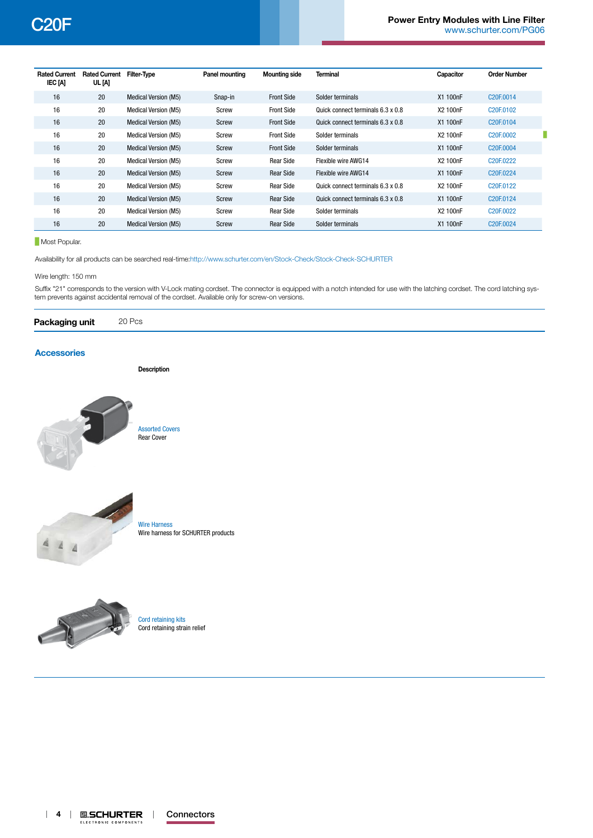| <b>Rated Current</b><br>IEC [A] | <b>Rated Current</b><br>UL [A] | <b>Filter-Type</b>          | Panel mounting | <b>Mounting side</b> | <b>Terminal</b>                   | Capacitor | <b>Order Number</b>                |
|---------------------------------|--------------------------------|-----------------------------|----------------|----------------------|-----------------------------------|-----------|------------------------------------|
| 16                              | 20                             | <b>Medical Version (M5)</b> | Snap-in        | <b>Front Side</b>    | Solder terminals                  | X1 100nF  | C20F.0014                          |
| 16                              | 20                             | <b>Medical Version (M5)</b> | Screw          | <b>Front Side</b>    | Quick connect terminals 6.3 x 0.8 | X2 100nF  | C20F.0102                          |
| 16                              | 20                             | <b>Medical Version (M5)</b> | Screw          | <b>Front Side</b>    | Quick connect terminals 6.3 x 0.8 | X1 100nF  | C20F.0104                          |
| 16                              | 20                             | <b>Medical Version (M5)</b> | Screw          | <b>Front Side</b>    | Solder terminals                  | X2 100nF  | C20F.0002                          |
| 16                              | 20                             | <b>Medical Version (M5)</b> | Screw          | <b>Front Side</b>    | Solder terminals                  | X1 100nF  | C20F.0004                          |
| 16                              | 20                             | <b>Medical Version (M5)</b> | Screw          | <b>Rear Side</b>     | Flexible wire AWG14               | X2 100nF  | C <sub>20</sub> F <sub>.0222</sub> |
| 16                              | 20                             | <b>Medical Version (M5)</b> | Screw          | <b>Rear Side</b>     | Flexible wire AWG14               | X1 100nF  | C20F.0224                          |
| 16                              | 20                             | Medical Version (M5)        | Screw          | <b>Rear Side</b>     | Quick connect terminals 6.3 x 0.8 | X2 100nF  | C <sub>20</sub> F <sub>.0122</sub> |
| 16                              | 20                             | <b>Medical Version (M5)</b> | Screw          | Rear Side            | Quick connect terminals 6.3 x 0.8 | X1 100nF  | C <sub>20</sub> F <sub>0124</sub>  |
| 16                              | 20                             | Medical Version (M5)        | Screw          | <b>Rear Side</b>     | Solder terminals                  | X2 100nF  | C <sub>20</sub> F <sub>.0022</sub> |
| 16                              | 20                             | <b>Medical Version (M5)</b> | Screw          | <b>Rear Side</b>     | Solder terminals                  | X1 100nF  | C20F.0024                          |

**Most Popular.** 

Availability for all products can be searched real-time:<http://www.schurter.com/en/Stock-Check/Stock-Check-SCHURTER>

Wire length: 150 mm

Suffix "21" corresponds to the version with V-Lock mating cordset. The connector is equipped with a notch intended for use with the latching cordset. The cord latching system prevents against accidental removal of the cordset. Available only for screw-on versions.

| Packaging unit | 20 Pcs |  |  |  |  |
|----------------|--------|--|--|--|--|
|----------------|--------|--|--|--|--|

### **[Accessories](http://www.schurter.ch/wwwsc/con_z01.asp)**

**Description**



[Assorted Covers](http://www.schurter.ch/pdf/english/typ_Assorted_Covers.pdf) Rear Cover



[Wire Harness](http://www.schurter.ch/pdf/english/typ_Wire_Harness.pdf) Wire harness for SCHURTER products



[Cord retaining kits](http://www.schurter.ch/pdf/english/typ_Cord_retaining_kits.pdf) Cord retaining strain relief